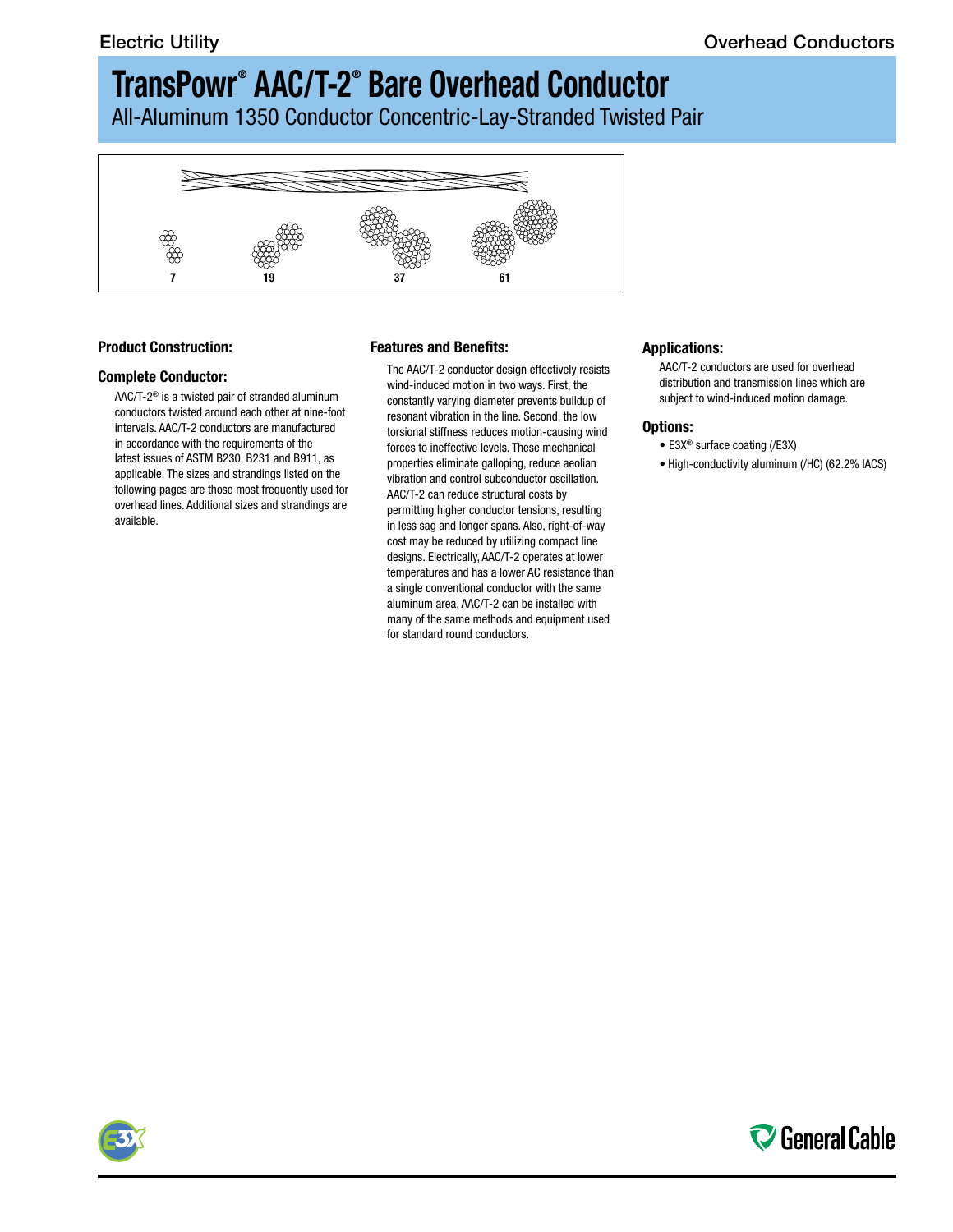# **TransPowr ® AAC/T-2® Bare Overhead Conductor**

All-Aluminum 1350 Conductor Concentric-Lay-Stranded Twisted Pair



### **Product Construction:**

#### **Complete Conductor:**

AAC/T-2® is a twisted pair of stranded aluminum conductors twisted around each other at nine-foot intervals. AAC/T-2 conductors are manufactured in accordance with the requirements of the latest issues of ASTM B230, B231 and B911, as applicable. The sizes and strandings listed on the following pages are those most frequently used for overhead lines. Additional sizes and strandings are available.

### **Features and Benefits:**

The AAC/T-2 conductor design effectively resists wind-induced motion in two ways. First, the constantly varying diameter prevents buildup of resonant vibration in the line. Second, the low torsional stiffness reduces motion-causing wind forces to ineffective levels. These mechanical properties eliminate galloping, reduce aeolian vibration and control subconductor oscillation. AAC/T-2 can reduce structural costs by permitting higher conductor tensions, resulting in less sag and longer spans. Also, right-of-way cost may be reduced by utilizing compact line designs. Electrically, AAC/T-2 operates at lower temperatures and has a lower AC resistance than a single conventional conductor with the same aluminum area. AAC/T-2 can be installed with many of the same methods and equipment used for standard round conductors.

#### **Applications:**

AAC/T-2 conductors are used for overhead distribution and transmission lines which are subject to wind-induced motion damage.

#### **Options:**

- E3X® surface coating (/E3X)
- High-conductivity aluminum (/HC) (62.2% IACS)



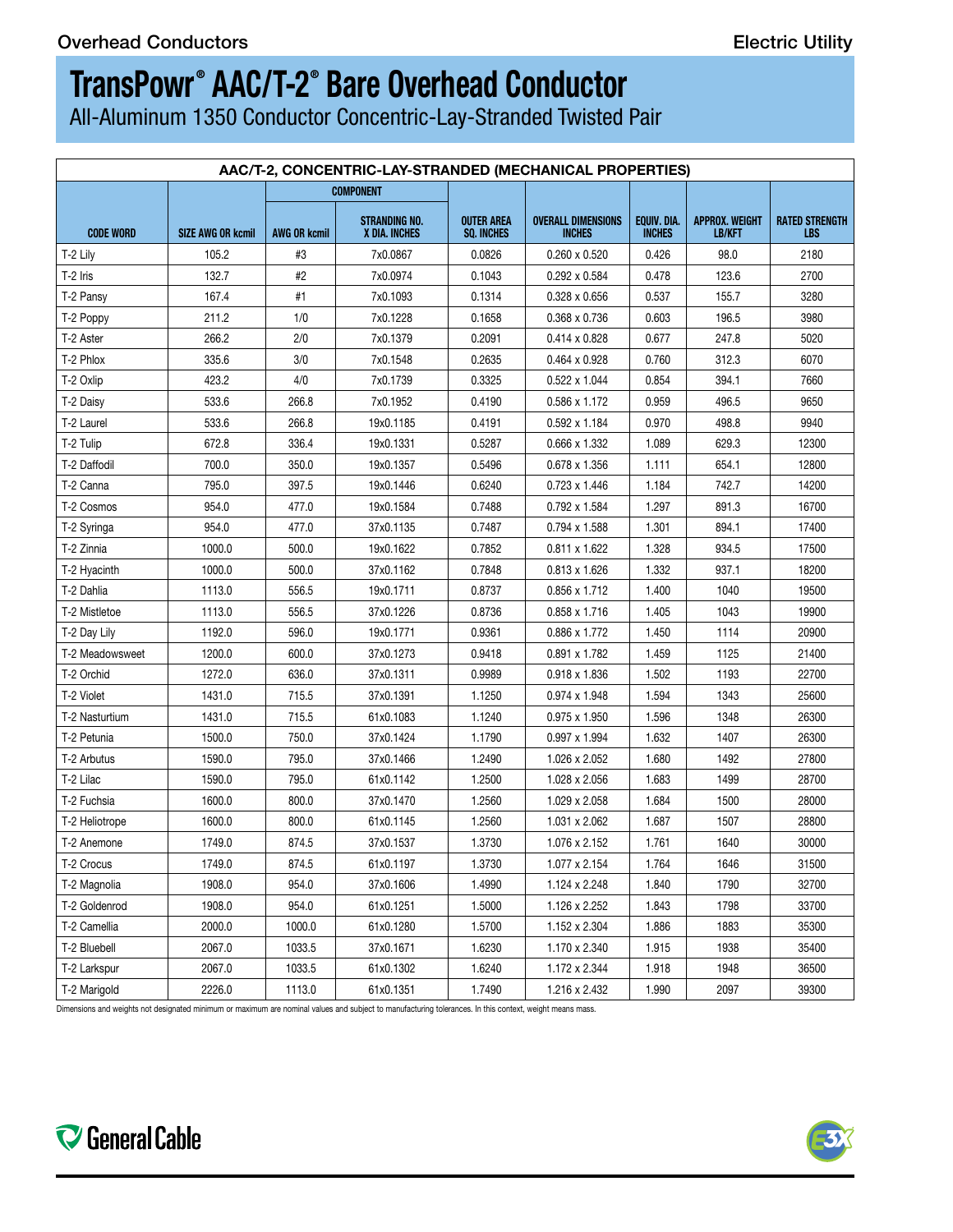5)

# **TransPowr ® AAC/T-2® Bare Overhead Conductor**

All-Aluminum 1350 Conductor Concentric-Lay-Stranded Twisted Pair

| AAC/T-2, CONCENTRIC-LAY-STRANDED (MECHANICAL PROPERTIES) |                                  |        |                                       |                                        |                                                   |               |                                 |                              |
|----------------------------------------------------------|----------------------------------|--------|---------------------------------------|----------------------------------------|---------------------------------------------------|---------------|---------------------------------|------------------------------|
|                                                          |                                  |        | <b>COMPONENT</b>                      |                                        |                                                   |               |                                 |                              |
| <b>CODE WORD</b>                                         | SIZE AWG OR kcmil   AWG OR kcmil |        | <b>STRANDING NO.</b><br>X DIA. INCHES | <b>OUTER AREA</b><br><b>SQ. INCHES</b> | OVERALL DIMENSIONS   EQUIV. DIA.<br><b>INCHES</b> | <b>INCHES</b> | APPROX. WEIGHT<br><b>LB/KFT</b> | <b>RATED STRENGTH</b><br>LBS |
| $T-2$ Lily                                               | 105.2                            | #3     | 7x0.0867                              | 0.0826                                 | $0.260 \times 0.520$                              | 0.426         | 98.0                            | 2180                         |
| T-2 Iris                                                 | 132.7                            | #2     | 7x0.0974                              | 0.1043                                 | 0.292 x 0.584                                     | 0.478         | 123.6                           | 2700                         |
| T-2 Pansy                                                | 167.4                            | #1     | 7x0.1093                              | 0.1314                                 | 0.328 x 0.656                                     | 0.537         | 155.7                           | 3280                         |
| T-2 Poppy                                                | 211.2                            | 1/0    | 7x0.1228                              | 0.1658                                 | 0.368 x 0.736                                     | 0.603         | 196.5                           | 3980                         |
| T-2 Aster                                                | 266.2                            | 2/0    | 7x0.1379                              | 0.2091                                 | 0.414 x 0.828                                     | 0.677         | 247.8                           | 5020                         |
| T-2 Phlox                                                | 335.6                            | 3/0    | 7x0.1548                              | 0.2635                                 | 0.464 x 0.928                                     | 0.760         | 312.3                           | 6070                         |
| T-2 Oxlip                                                | 423.2                            | 4/0    | 7x0.1739                              | 0.3325                                 | 0.522 x 1.044                                     | 0.854         | 394.1                           | 7660                         |
| T-2 Daisy                                                | 533.6                            | 266.8  | 7x0.1952                              | 0.4190                                 | 0.586 x 1.172                                     | 0.959         | 496.5                           | 9650                         |
| T-2 Laurel                                               | 533.6                            | 266.8  | 19x0.1185                             | 0.4191                                 | 0.592 x 1.184                                     | 0.970         | 498.8                           | 9940                         |
| $\vert$ T-2 Tulip                                        | 672.8                            | 336.4  | 19x0.1331                             | 0.5287                                 | 0.666 x 1.332                                     | 1.089         | 629.3                           | 12300                        |
| T-2 Daffodil                                             | 700.0                            | 350.0  | 19x0.1357                             | 0.5496                                 | 0.678 x 1.356                                     | 1.111         | 654.1                           | 12800                        |
| T-2 Canna                                                | 795.0                            | 397.5  | 19x0.1446                             | 0.6240                                 | $0.723 \times 1.446$                              | 1.184         | 742.7                           | 14200                        |
| T-2 Cosmos                                               | 954.0                            | 477.0  | 19x0.1584                             | 0.7488                                 | 0.792 x 1.584                                     | 1.297         | 891.3                           | 16700                        |
| T-2 Syringa                                              | 954.0                            | 477.0  | 37x0.1135                             | 0.7487                                 | 0.794 x 1.588                                     | 1.301         | 894.1                           | 17400                        |
| T-2 Zinnia                                               | 1000.0                           | 500.0  | 19x0.1622                             | 0.7852                                 | 0.811 x 1.622                                     | 1.328         | 934.5                           | 17500                        |
| T-2 Hyacinth                                             | 1000.0                           | 500.0  | 37x0.1162                             | 0.7848                                 | 0.813 x 1.626                                     | 1.332         | 937.1                           | 18200                        |
| T-2 Dahlia                                               | 1113.0                           | 556.5  | 19x0.1711                             | 0.8737                                 | 0.856 x 1.712                                     | 1.400         | 1040                            | 19500                        |
| T-2 Mistletoe                                            | 1113.0                           | 556.5  | 37x0.1226                             | 0.8736                                 | 0.858 x 1.716                                     | 1.405         | 1043                            | 19900                        |
| T-2 Day Lily                                             | 1192.0                           | 596.0  | 19x0.1771                             | 0.9361                                 | 0.886 x 1.772                                     | 1.450         | 1114                            | 20900                        |
| T-2 Meadowsweet                                          | 1200.0                           | 600.0  | 37x0.1273                             | 0.9418                                 | 0.891 x 1.782                                     | 1.459         | 1125                            | 21400                        |
| T-2 Orchid                                               | 1272.0                           | 636.0  | 37x0.1311                             | 0.9989                                 | 0.918 x 1.836                                     | 1.502         | 1193                            | 22700                        |
| T-2 Violet                                               | 1431.0                           | 715.5  | 37x0.1391                             | 1.1250                                 | 0.974 x 1.948                                     | 1.594         | 1343                            | 25600                        |
| T-2 Nasturtium                                           | 1431.0                           | 715.5  | 61x0.1083                             | 1.1240                                 | 0.975 x 1.950                                     | 1.596         | 1348                            | 26300                        |
| T-2 Petunia                                              | 1500.0                           | 750.0  | 37x0.1424                             | 1.1790                                 | 0.997 x 1.994                                     | 1.632         | 1407                            | 26300                        |
| T-2 Arbutus                                              | 1590.0                           | 795.0  | 37x0.1466                             | 1.2490                                 | 1.026 x 2.052                                     | 1.680         | 1492                            | 27800                        |
| T-2 Lilac                                                | 1590.0                           | 795.0  | 61x0.1142                             | 1.2500                                 | 1.028 x 2.056                                     | 1.683         | 1499                            | 28700                        |
| T-2 Fuchsia                                              | 1600.0                           | 800.0  | 37x0.1470                             | 1.2560                                 | 1.029 x 2.058                                     | 1.684         | 1500                            | 28000                        |
| T-2 Heliotrope                                           | 1600.0                           | 800.0  | 61x0.1145                             | 1.2560                                 | 1.031 x 2.062                                     | 1.687         | 1507                            | 28800                        |
| T-2 Anemone                                              | 1749.0                           | 874.5  | 37x0.1537                             | 1.3730                                 | 1.076 x 2.152                                     | 1.761         | 1640                            | 30000                        |
| T-2 Crocus                                               | 1749.0                           | 874.5  | 61x0.1197                             | 1.3730                                 | 1.077 x 2.154                                     | 1.764         | 1646                            | 31500                        |
| T-2 Magnolia                                             | 1908.0                           | 954.0  | 37x0.1606                             | 1.4990                                 | 1.124 x 2.248                                     | 1.840         | 1790                            | 32700                        |
| T-2 Goldenrod                                            | 1908.0                           | 954.0  | 61x0.1251                             | 1.5000                                 | 1.126 x 2.252                                     | 1.843         | 1798                            | 33700                        |
|                                                          |                                  |        |                                       |                                        |                                                   |               |                                 |                              |
| T-2 Camellia                                             | 2000.0                           | 1000.0 | 61x0.1280                             | 1.5700                                 | 1.152 x 2.304                                     | 1.886         | 1883                            | 35300                        |
| T-2 Bluebell                                             | 2067.0                           | 1033.5 | 37x0.1671                             | 1.6230                                 | 1.170 x 2.340                                     | 1.915         | 1938                            | 35400                        |
| T-2 Larkspur                                             | 2067.0                           | 1033.5 | 61x0.1302                             | 1.6240                                 | 1.172 x 2.344                                     | 1.918         | 1948                            | 36500                        |
| T-2 Marigold                                             | 2226.0                           | 1113.0 | 61x0.1351                             | 1.7490                                 | 1.216 x 2.432                                     | 1.990         | 2097                            | 39300                        |

Dimensions and weights not designated minimum or maximum are nominal values and subject to manufacturing tolerances. In this context, weight means mass.